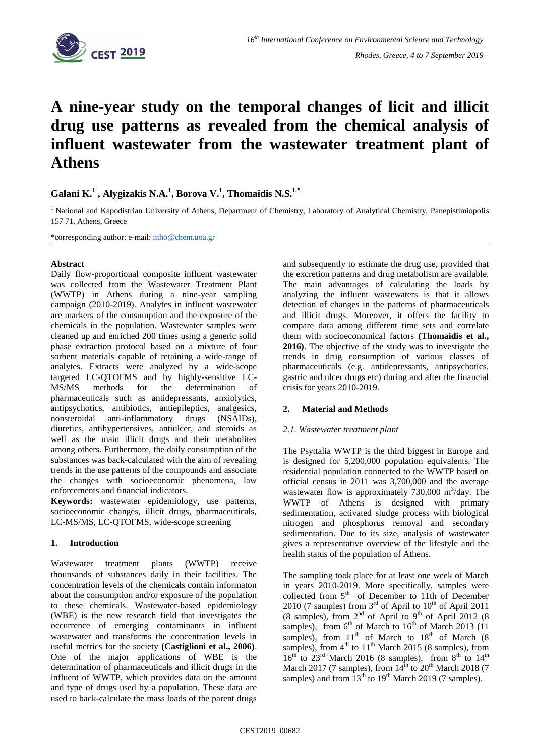

# **A nine-year study on the temporal changes of licit and illicit drug use patterns as revealed from the chemical analysis of influent wastewater from the wastewater treatment plant of Athens**

# **Galani K.<sup>1</sup> , Alygizakis N.A.<sup>1</sup> , Borova V. 1 , Thomaidis N.S.1,\***

<sup>1</sup> National and Kapodistrian University of Athens, Department of Chemistry, Laboratory of Analytical Chemistry, Panepistimiopolis 157 71, Athens, Greece

\*corresponding author: e-mail: [ntho@c](mailto:ntho@)hem.uoa.gr

## **Abstract**

Daily flow-proportional composite influent wastewater was collected from the Wastewater Treatment Plant (WWTP) in Athens during a nine-year sampling campaign (2010-2019). Analytes in influent wastewater are markers of the consumption and the exposure of the chemicals in the population. Wastewater samples were cleaned up and enriched 200 times using a generic solid phase extraction protocol based on a mixture of four sorbent materials capable of retaining a wide-range of analytes. Extracts were analyzed by a wide-scope targeted LC-QTOFMS and by highly-sensitive LC-MS/MS methods for the determination of pharmaceuticals such as antidepressants, anxiolytics, antipsychotics, antibiotics, antiepileptics, analgesics, nonsteroidal anti-inflammatory drugs (NSAIDs), diuretics, antihypertensives, antiulcer, and steroids as well as the main illicit drugs and their metabolites among others. Furthermore, the daily consumption of the substances was back-calculated with the aim of revealing trends in the use patterns of the compounds and associate the changes with socioeconomic phenomena, law enforcements and financial indicators.

**Keywords:** wastewater epidemiology, use patterns, socioeconomic changes, illicit drugs, pharmaceuticals, LC-MS/MS, LC-QTOFMS, wide-scope screening

## **1. Introduction**

Wastewater treatment plants (WWTP) receive thounsands of substances daily in their facilities. The concentration levels of the chemicals contain informaton about the consumption and/or exposure of the population to these chemicals. Wastewater-based epidemiology (WBE) is the new research field that investigates the occurrence of emerging contaminants in influent wastewater and transforms the concentration levels in useful metrics for the society **(Castiglioni et al., 2006)**. One of the major applications of WBE is the determination of pharmaceuticals and illicit drugs in the influent of WWTP, which provides data on the amount and type of drugs used by a population. These data are used to back-calculate the mass loads of the parent drugs

and subsequently to estimate the drug use, provided that the excretion patterns and drug metabolism are available. The main advantages of calculating the loads by analyzing the influent wastewaters is that it allows detection of changes in the patterns of pharmaceuticals and illicit drugs. Moreover, it offers the facility to compare data among different time sets and correlate them with socioeconomical factors **(Thomaidis et al., 2016)**. The objective of the study was to investigate the trends in drug consumption of various classes of pharmaceuticals (e.g. antidepressants, antipsychotics, gastric and ulcer drugs etc) during and after the financial crisis for years 2010-2019.

## **2. Material and Methods**

## *2.1. Wastewater treatment plant*

The Psyttalia WWTP is the third biggest in Europe and is designed for 5,200,000 population equivalents. The residential population connected to the WWTP based on official census in 2011 was 3,700,000 and the average wastewater flow is approximately  $730,000 \text{ m}^3/\text{day}$ . The WWTP of Athens is designed with primary sedimentation, activated sludge process with biological nitrogen and phosphorus removal and secondary sedimentation. Due to its size, analysis of wastewater gives a representative overview of the lifestyle and the health status of the population of Athens.

The sampling took place for at least one week of March in years 2010-2019. More specifically, samples were collected from 5<sup>th</sup> of December to 11th of December 2010 (7 samples) from  $3<sup>rd</sup>$  of April to  $10<sup>th</sup>$  of April 2011 (8 samples), from  $2<sup>nd</sup>$  of April to  $9<sup>th</sup>$  of April 2012 (8) samples), from  $6<sup>th</sup>$  of March to  $16<sup>th</sup>$  of March 2013 (11) samples), from  $11<sup>th</sup>$  of March to  $18<sup>th</sup>$  of March (8) samples), from  $4<sup>th</sup>$  to  $11<sup>th</sup>$  March 2015 (8 samples), from  $16<sup>th</sup>$  to  $23<sup>rd</sup>$  March 2016 (8 samples), from  $8<sup>th</sup>$  to  $14<sup>th</sup>$ March 2017 (7 samples), from  $14<sup>th</sup>$  to  $20<sup>th</sup>$  March 2018 (7 samples) and from  $13<sup>th</sup>$  to  $19<sup>th</sup>$  March 2019 (7 samples).